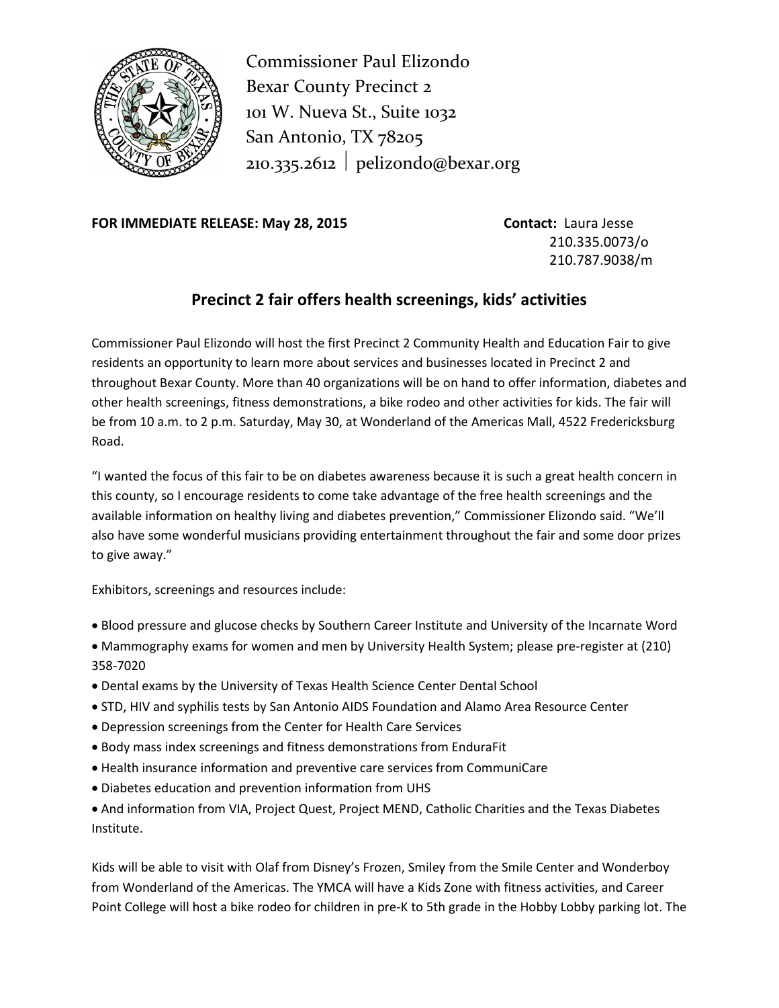

Commissioner Paul Elizondo Bexar County Precinct 2 101 W. Nueva St., Suite 1032 San Antonio, TX 78205  $210.335.2612$  pelizondo@bexar.org

**FOR IMMEDIATE RELEASE: May 28, 2015 Contact:** Laura Jesse

210.335.0073/o 210.787.9038/m

## **Precinct 2 fair offers health screenings, kids' activities**

Commissioner Paul Elizondo will host the first Precinct 2 Community Health and Education Fair to give residents an opportunity to learn more about services and businesses located in Precinct 2 and throughout Bexar County. More than 40 organizations will be on hand to offer information, diabetes and other health screenings, fitness demonstrations, a bike rodeo and other activities for kids. The fair will be from 10 a.m. to 2 p.m. Saturday, May 30, at Wonderland of the Americas Mall, 4522 Fredericksburg Road.

"I wanted the focus of this fair to be on diabetes awareness because it is such a great health concern in this county, so I encourage residents to come take advantage of the free health screenings and the available information on healthy living and diabetes prevention," Commissioner Elizondo said. "We'll also have some wonderful musicians providing entertainment throughout the fair and some door prizes to give away."

Exhibitors, screenings and resources include:

- Blood pressure and glucose checks by Southern Career Institute and University of the Incarnate Word
- Mammography exams for women and men by University Health System; please pre-register at (210) 358-7020
- Dental exams by the University of Texas Health Science Center Dental School
- STD, HIV and syphilis tests by San Antonio AIDS Foundation and Alamo Area Resource Center
- Depression screenings from the Center for Health Care Services
- Body mass index screenings and fitness demonstrations from EnduraFit
- Health insurance information and preventive care services from CommuniCare
- Diabetes education and prevention information from UHS
- And information from VIA, Project Quest, Project MEND, Catholic Charities and the Texas Diabetes Institute.

Kids will be able to visit with Olaf from Disney's Frozen, Smiley from the Smile Center and Wonderboy from Wonderland of the Americas. The YMCA will have a Kids Zone with fitness activities, and Career Point College will host a bike rodeo for children in pre-K to 5th grade in the Hobby Lobby parking lot. The